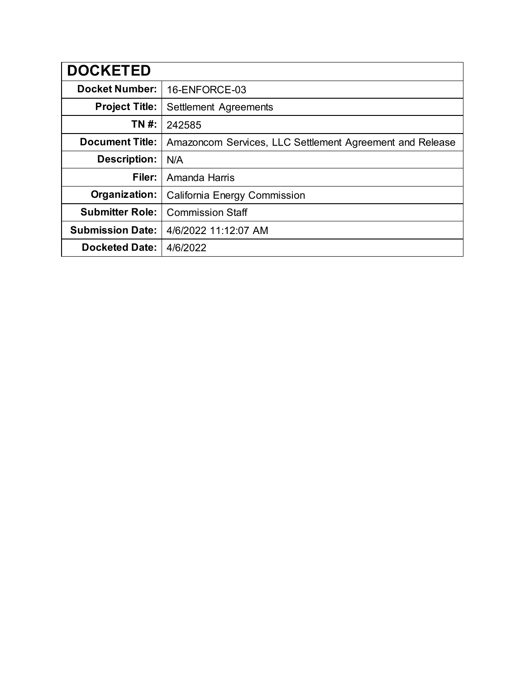| <b>DOCKETED</b>         |                                                          |
|-------------------------|----------------------------------------------------------|
| <b>Docket Number:</b>   | 16-ENFORCE-03                                            |
| <b>Project Title:</b>   | Settlement Agreements                                    |
| TN #:                   | 242585                                                   |
| <b>Document Title:</b>  | Amazoncom Services, LLC Settlement Agreement and Release |
| <b>Description:</b>     | N/A                                                      |
| Filer:                  | Amanda Harris                                            |
| Organization:           | California Energy Commission                             |
| <b>Submitter Role:</b>  | <b>Commission Staff</b>                                  |
| <b>Submission Date:</b> | 4/6/2022 11:12:07 AM                                     |
| <b>Docketed Date:</b>   | 4/6/2022                                                 |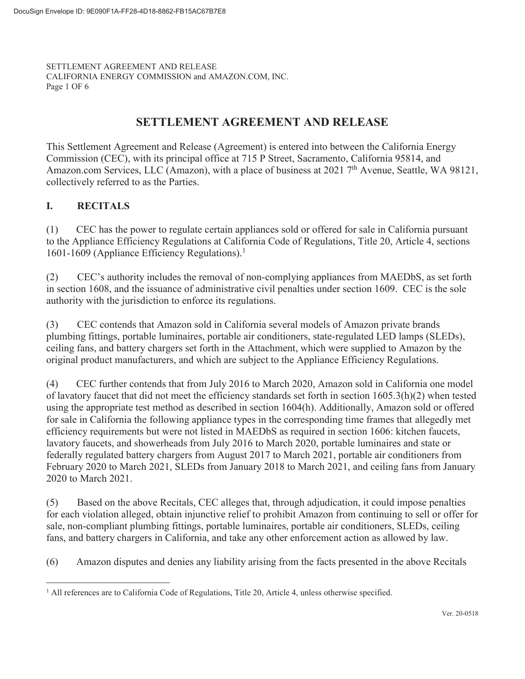SETTLEMENT AGREEMENT AND RELEASE CALIFORNIA ENERGY COMMISSION and AMAZON.COM, INC. Page 1 OF

# **SETTLEMENT AGREEMENT AND RELEASE**

This Settlement Agreement and Release (Agreement) is entered into between the California Energy Commission (CEC), with its principal office at 715 P Street, Sacramento, California 95814, and Amazon.com Services, LLC (Amazon), with a place of business at 2021 7<sup>th</sup> Avenue, Seattle, WA 98121, collectively referred to as the Parties.

## **I. RECITALS**

(1) CEC has the power to regulate certain appliances sold or offered for sale in California pursuant to the Appliance Efficiency Regulations at California Code of Regulations, Title 20, Article 4, sections 1601-1609 (Appliance Efficiency Regulations).<sup>1</sup>

(2) CEC's authority includes the removal of non-complying appliances from MAEDbS, as set forth in section 1608, and the issuance of administrative civil penalties under section 1609. CEC is the sole authority with the jurisdiction to enforce its regulations.

(3) CEC contends that Amazon sold in California several models of Amazon private brands plumbing fittings, portable luminaires, portable air conditioners, state-regulated LED lamps (SLEDs), ceiling fans, and battery chargers set forth in the Attachment, which were supplied to Amazon by the original product manufacturers, and which are subject to the Appliance Efficiency Regulations.

(4) CEC further contends that from July 2016 to March 2020, Amazon sold in California one model of lavatory faucet that did not meet the efficiency standards set forth in section 1605.3(h)(2) when tested using the appropriate test method as described in section 1604(h). Additionally, Amazon sold or offered for sale in California the following appliance types in the corresponding time frames that allegedly met efficiency requirements but were not listed in MAEDbS as required in section 1606: kitchen faucets, lavatory faucets, and showerheads from July 2016 to March 2020, portable luminaires and state or federally regulated battery chargers from August 2017 to March 2021, portable air conditioners from February 2020 to March 2021, SLEDs from January 2018 to March 2021, and ceiling fans from January 2020 to March 2021.

(5) Based on the above Recitals, CEC alleges that, through adjudication, it could impose penalties for each violation alleged, obtain injunctive relief to prohibit Amazon from continuing to sell or offer for sale, non-compliant plumbing fittings, portable luminaires, portable air conditioners, SLEDs, ceiling fans, and battery chargers in California, and take any other enforcement action as allowed by law.

(6) Amazon disputes and denies any liability arising from the facts presented in the above Recitals

<sup>&</sup>lt;sup>1</sup> All references are to California Code of Regulations, Title 20, Article 4, unless otherwise specified.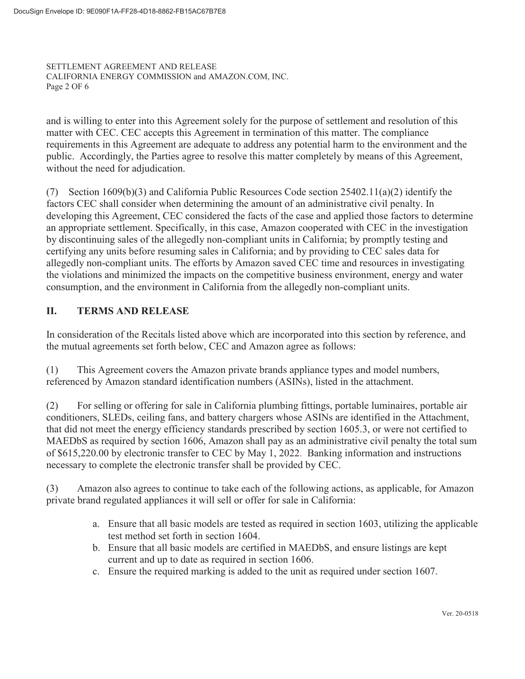SETTLEMENT AGREEMENT AND RELEASE CALIFORNIA ENERGY COMMISSION and AMAZON.COM, INC. Page 2 OF

and is willing to enter into this Agreement solely for the purpose of settlement and resolution of this matter with CEC. CEC accepts this Agreement in termination of this matter. The compliance requirements in this Agreement are adequate to address any potential harm to the environment and the public. Accordingly, the Parties agree to resolve this matter completely by means of this Agreement, without the need for adjudication.

(7) Section 1609(b)(3) and California Public Resources Code section 25402.11(a)(2) identify the factors CEC shall consider when determining the amount of an administrative civil penalty. In developing this Agreement, CEC considered the facts of the case and applied those factors to determine an appropriate settlement. Specifically, in this case, Amazon cooperated with CEC in the investigation by discontinuing sales of the allegedly non-compliant units in California; by promptly testing and certifying any units before resuming sales in California; and by providing to CEC sales data for allegedly non-compliant units. The efforts by Amazon saved CEC time and resources in investigating the violations and minimized the impacts on the competitive business environment, energy and water consumption, and the environment in California from the allegedly non-compliant units.

## **II. TERMS AND RELEASE**

In consideration of the Recitals listed above which are incorporated into this section by reference, and the mutual agreements set forth below, CEC and Amazon agree as follows:

(1) This Agreement covers the Amazon private brands appliance types and model numbers, referenced by Amazon standard identification numbers (ASINs), listed in the attachment.

(2) For selling or offering for sale in California plumbing fittings, portable luminaires, portable air conditioners, SLEDs, ceiling fans, and battery chargers whose ASINs are identified in the Attachment, that did not meet the energy efficiency standards prescribed by section 1605.3, or were not certified to MAEDbS as required by section 1606, Amazon shall pay as an administrative civil penalty the total sum of \$615,220.00 by electronic transfer to CEC by May 1, 2022. Banking information and instructions necessary to complete the electronic transfer shall be provided by CEC.

(3) Amazon also agrees to continue to take each of the following actions, as applicable, for Amazon private brand regulated appliances it will sell or offer for sale in California:

- a. Ensure that all basic models are tested as required in section 1603, utilizing the applicable test method set forth in section 1604.
- b. Ensure that all basic models are certified in MAEDbS, and ensure listings are kept current and up to date as required in section 1606.
- c. Ensure the required marking is added to the unit as required under section 1607.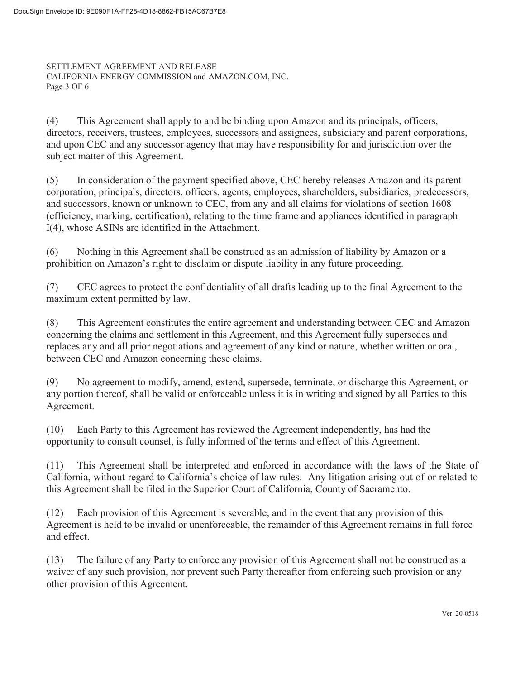SETTLEMENT AGREEMENT AND RELEASE CALIFORNIA ENERGY COMMISSION and AMAZON.COM, INC. Page 3 OF

(4) This Agreement shall apply to and be binding upon Amazon and its principals, officers, directors, receivers, trustees, employees, successors and assignees, subsidiary and parent corporations, and upon CEC and any successor agency that may have responsibility for and jurisdiction over the subject matter of this Agreement.

(5) In consideration of the payment specified above, CEC hereby releases Amazon and its parent corporation, principals, directors, officers, agents, employees, shareholders, subsidiaries, predecessors, and successors, known or unknown to CEC, from any and all claims for violations of section 1608 (efficiency, marking, certification), relating to the time frame and appliances identified in paragraph I(4), whose ASINs are identified in the Attachment.

(6) Nothing in this Agreement shall be construed as an admission of liability by Amazon or a prohibition on Amazon's right to disclaim or dispute liability in any future proceeding.

(7) CEC agrees to protect the confidentiality of all drafts leading up to the final Agreement to the maximum extent permitted by law.

(8) This Agreement constitutes the entire agreement and understanding between CEC and Amazon concerning the claims and settlement in this Agreement, and this Agreement fully supersedes and replaces any and all prior negotiations and agreement of any kind or nature, whether written or oral, between CEC and Amazon concerning these claims.

(9) No agreement to modify, amend, extend, supersede, terminate, or discharge this Agreement, or any portion thereof, shall be valid or enforceable unless it is in writing and signed by all Parties to this Agreement.

(10) Each Party to this Agreement has reviewed the Agreement independently, has had the opportunity to consult counsel, is fully informed of the terms and effect of this Agreement.

(11) This Agreement shall be interpreted and enforced in accordance with the laws of the State of California, without regard to California's choice of law rules. Any litigation arising out of or related to this Agreement shall be filed in the Superior Court of California, County of Sacramento.

(12) Each provision of this Agreement is severable, and in the event that any provision of this Agreement is held to be invalid or unenforceable, the remainder of this Agreement remains in full force and effect.

(13) The failure of any Party to enforce any provision of this Agreement shall not be construed as a waiver of any such provision, nor prevent such Party thereafter from enforcing such provision or any other provision of this Agreement.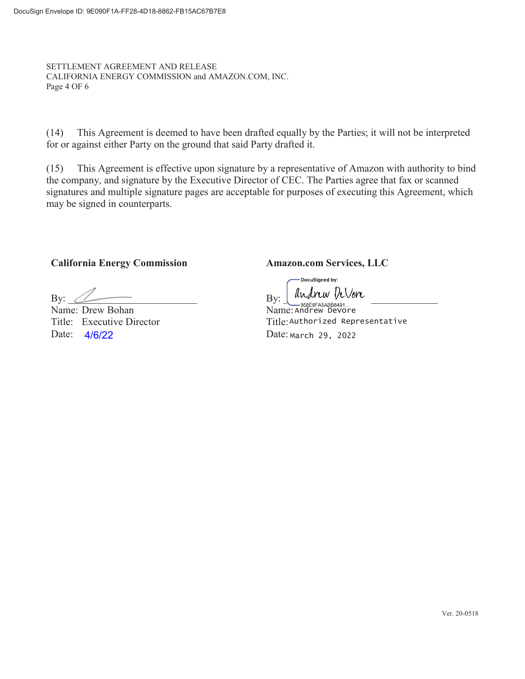SETTLEMENT AGREEMENT AND RELEASE CALIFORNIA ENERGY COMMISSION and AMAZON.COM, INC. Page 4 OF

(14) This Agreement is deemed to have been drafted equally by the Parties; it will not be interpreted for or against either Party on the ground that said Party drafted it.

(15) This Agreement is effective upon signature by a representative of Amazon with authority to bind the company, and signature by the Executive Director of CEC. The Parties agree that fax or scanned signatures and multiple signature pages are acceptable for purposes of executing this Agreement, which may be signed in counterparts.

**California Energy Commission Amazon.com Services, LLC** 

By:  $\Box$  By:  $\Box$  and  $\Box$ 

Name: Drew Bohan Title: Executive Director Date: 4/6/22 Date:

-DocuSigned by:

Andrew DeVore Date: March 29, 2022 Title: Authorized Representative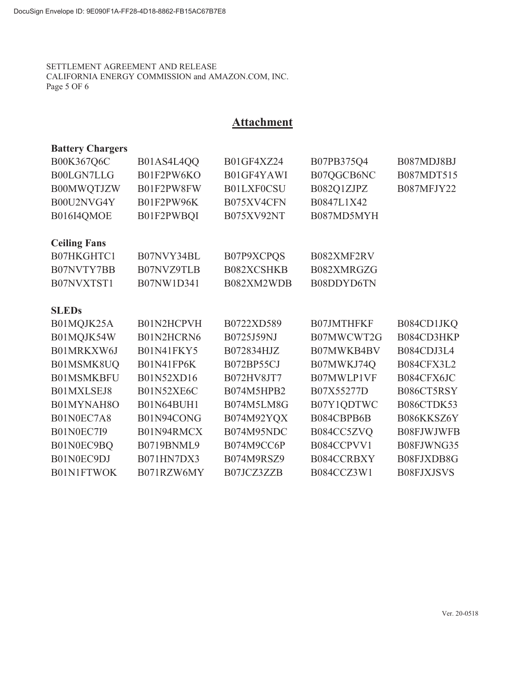### SETTLEMENT AGREEMENT AND RELEASE CALIFORNIA ENERGY COMMISSION and AMAZON.COM, INC. Page 5 OF

# **Attachment**

| <b>Battery Chargers</b> |                   |            |                   |                   |
|-------------------------|-------------------|------------|-------------------|-------------------|
| B00K367Q6C              | B01AS4L4QQ        | B01GF4XZ24 | B07PB375Q4        | B087MDJ8BJ        |
| B00LGN7LLG              | B01F2PW6KO        | B01GF4YAWI | B07QGCB6NC        | B087MDT515        |
| B00MWQTJZW              | B01F2PW8FW        | B01LXF0CSU | B082Q1ZJPZ        | B087MFJY22        |
| B00U2NVG4Y              | B01F2PW96K        | B075XV4CFN | B0847L1X42        |                   |
| B016I4QMOE              | B01F2PWBQI        | B075XV92NT | B087MD5MYH        |                   |
| <b>Ceiling Fans</b>     |                   |            |                   |                   |
| B07HKGHTC1              | B07NVY34BL        | B07P9XCPQS | B082XMF2RV        |                   |
| B07NVTY7BB              | B07NVZ9TLB        | B082XCSHKB | B082XMRGZG        |                   |
| B07NVXTST1              | B07NW1D341        | B082XM2WDB | B08DDYD6TN        |                   |
| <b>SLEDs</b>            |                   |            |                   |                   |
| B01MQJK25A              | B01N2HCPVH        | B0722XD589 | <b>B07JMTHFKF</b> | B084CD1JKQ        |
| B01MQJK54W              | B01N2HCRN6        | B0725J59NJ | B07MWCWT2G        | B084CD3HKP        |
| B01MRKXW6J              | <b>B01N41FKY5</b> | B072834HJZ | B07MWKB4BV        | B084CDJ3L4        |
| B01MSMK8UQ              | B01N41FP6K        | B072BP55CJ | B07MWKJ74Q        | B084CFX3L2        |
| <b>B01MSMKBFU</b>       | B01N52XD16        | B072HV8JT7 | B07MWLP1VF        | B084CFX6JC        |
| B01MXLSEJ8              | B01N52XE6C        | B074M5HPB2 | B07X55277D        | B086CT5RSY        |
| B01MYNAH8O              | B01N64BUH1        | B074M5LM8G | B07Y1QDTWC        | B086CTDK53        |
| B01N0EC7A8              | B01N94CONG        | B074M92YQX | B084CBPB6B        | B086KKSZ6Y        |
| <b>B01N0EC7I9</b>       | B01N94RMCX        | B074M95NDC | B084CC5ZVQ        | B08FJWJWFB        |
| B01N0EC9BQ              | B0719BNML9        | B074M9CC6P | B084CCPVV1        | B08FJWNG35        |
| B01N0EC9DJ              | B071HN7DX3        | B074M9RSZ9 | B084CCRBXY        | B08FJXDB8G        |
| <b>B01N1FTWOK</b>       | B071RZW6MY        | B07JCZ3ZZB | B084CCZ3W1        | <b>B08FJXJSVS</b> |